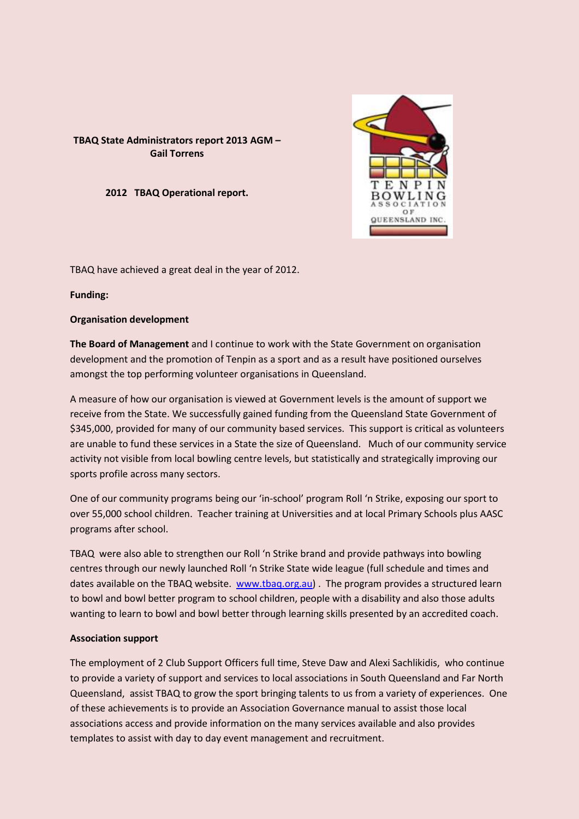## **TBAQ State Administrators report 2013 AGM – Gail Torrens**

**2012 TBAQ Operational report.**



TBAQ have achieved a great deal in the year of 2012.

#### **Funding:**

#### **Organisation development**

**The Board of Management** and I continue to work with the State Government on organisation development and the promotion of Tenpin as a sport and as a result have positioned ourselves amongst the top performing volunteer organisations in Queensland.

A measure of how our organisation is viewed at Government levels is the amount of support we receive from the State. We successfully gained funding from the Queensland State Government of \$345,000, provided for many of our community based services. This support is critical as volunteers are unable to fund these services in a State the size of Queensland. Much of our community service activity not visible from local bowling centre levels, but statistically and strategically improving our sports profile across many sectors.

One of our community programs being our 'in-school' program Roll 'n Strike, exposing our sport to over 55,000 school children. Teacher training at Universities and at local Primary Schools plus AASC programs after school.

TBAQ were also able to strengthen our Roll 'n Strike brand and provide pathways into bowling centres through our newly launched Roll 'n Strike State wide league (full schedule and times and dates available on the TBAQ website. [www.tbaq.org.au\)](http://www.tbaq.org.au/). The program provides a structured learn to bowl and bowl better program to school children, people with a disability and also those adults wanting to learn to bowl and bowl better through learning skills presented by an accredited coach.

# **Association support**

The employment of 2 Club Support Officers full time, Steve Daw and Alexi Sachlikidis, who continue to provide a variety of support and services to local associations in South Queensland and Far North Queensland, assist TBAQ to grow the sport bringing talents to us from a variety of experiences. One of these achievements is to provide an Association Governance manual to assist those local associations access and provide information on the many services available and also provides templates to assist with day to day event management and recruitment.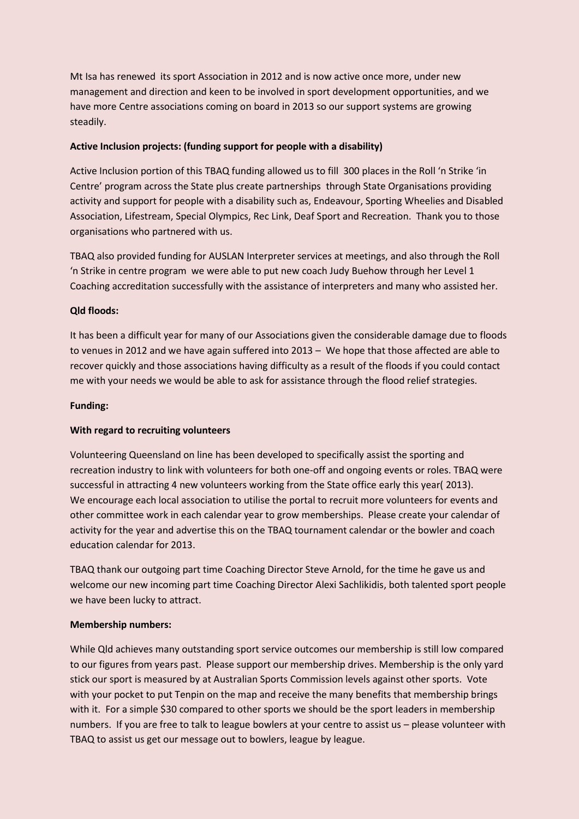Mt Isa has renewed its sport Association in 2012 and is now active once more, under new management and direction and keen to be involved in sport development opportunities, and we have more Centre associations coming on board in 2013 so our support systems are growing steadily.

## **Active Inclusion projects: (funding support for people with a disability)**

Active Inclusion portion of this TBAQ funding allowed us to fill 300 places in the Roll 'n Strike 'in Centre' program across the State plus create partnerships through State Organisations providing activity and support for people with a disability such as, Endeavour, Sporting Wheelies and Disabled Association, Lifestream, Special Olympics, Rec Link, Deaf Sport and Recreation. Thank you to those organisations who partnered with us.

TBAQ also provided funding for AUSLAN Interpreter services at meetings, and also through the Roll 'n Strike in centre program we were able to put new coach Judy Buehow through her Level 1 Coaching accreditation successfully with the assistance of interpreters and many who assisted her.

## **Qld floods:**

It has been a difficult year for many of our Associations given the considerable damage due to floods to venues in 2012 and we have again suffered into 2013 – We hope that those affected are able to recover quickly and those associations having difficulty as a result of the floods if you could contact me with your needs we would be able to ask for assistance through the flood relief strategies.

#### **Funding:**

# **With regard to recruiting volunteers**

Volunteering Queensland on line has been developed to specifically assist the sporting and recreation industry to link with volunteers for both one-off and ongoing events or roles. TBAQ were successful in attracting 4 new volunteers working from the State office early this year( 2013). We encourage each local association to utilise the portal to recruit more volunteers for events and other committee work in each calendar year to grow memberships. Please create your calendar of activity for the year and advertise this on the TBAQ tournament calendar or the bowler and coach education calendar for 2013.

TBAQ thank our outgoing part time Coaching Director Steve Arnold, for the time he gave us and welcome our new incoming part time Coaching Director Alexi Sachlikidis, both talented sport people we have been lucky to attract.

#### **Membership numbers:**

While Qld achieves many outstanding sport service outcomes our membership is still low compared to our figures from years past. Please support our membership drives. Membership is the only yard stick our sport is measured by at Australian Sports Commission levels against other sports. Vote with your pocket to put Tenpin on the map and receive the many benefits that membership brings with it. For a simple \$30 compared to other sports we should be the sport leaders in membership numbers. If you are free to talk to league bowlers at your centre to assist us – please volunteer with TBAQ to assist us get our message out to bowlers, league by league.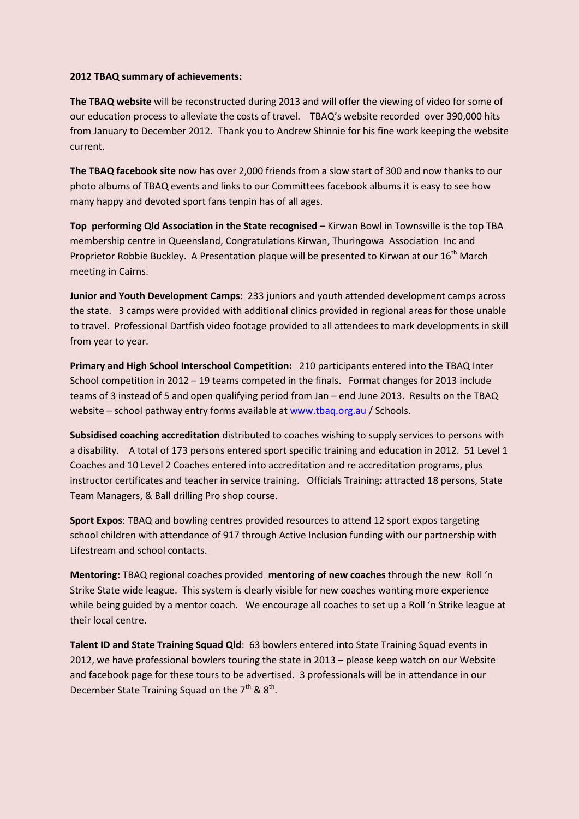#### **2012 TBAQ summary of achievements:**

**The TBAQ website** will be reconstructed during 2013 and will offer the viewing of video for some of our education process to alleviate the costs of travel. TBAQ's website recorded over 390,000 hits from January to December 2012. Thank you to Andrew Shinnie for his fine work keeping the website current.

**The TBAQ facebook site** now has over 2,000 friends from a slow start of 300 and now thanks to our photo albums of TBAQ events and links to our Committees facebook albums it is easy to see how many happy and devoted sport fans tenpin has of all ages.

**Top performing Qld Association in the State recognised –** Kirwan Bowl in Townsville is the top TBA membership centre in Queensland, Congratulations Kirwan, Thuringowa Association Inc and Proprietor Robbie Buckley. A Presentation plaque will be presented to Kirwan at our 16<sup>th</sup> March meeting in Cairns.

**Junior and Youth Development Camps**: 233 juniors and youth attended development camps across the state. 3 camps were provided with additional clinics provided in regional areas for those unable to travel. Professional Dartfish video footage provided to all attendees to mark developments in skill from year to year.

**Primary and High School Interschool Competition:** 210 participants entered into the TBAQ Inter School competition in 2012 – 19 teams competed in the finals. Format changes for 2013 include teams of 3 instead of 5 and open qualifying period from Jan – end June 2013. Results on the TBAQ website – school pathway entry forms available at [www.tbaq.org.au](http://www.tbaq.org.au/) / Schools.

**Subsidised coaching accreditation** distributed to coaches wishing to supply services to persons with a disability. A total of 173 persons entered sport specific training and education in 2012. 51 Level 1 Coaches and 10 Level 2 Coaches entered into accreditation and re accreditation programs, plus instructor certificates and teacher in service training. Officials Training**:** attracted 18 persons, State Team Managers, & Ball drilling Pro shop course.

**Sport Expos**: TBAQ and bowling centres provided resources to attend 12 sport expos targeting school children with attendance of 917 through Active Inclusion funding with our partnership with Lifestream and school contacts.

**Mentoring:** TBAQ regional coaches provided **mentoring of new coaches** through the new Roll 'n Strike State wide league. This system is clearly visible for new coaches wanting more experience while being guided by a mentor coach. We encourage all coaches to set up a Roll 'n Strike league at their local centre.

**Talent ID and State Training Squad Qld**: 63 bowlers entered into State Training Squad events in 2012, we have professional bowlers touring the state in 2013 – please keep watch on our Website and facebook page for these tours to be advertised. 3 professionals will be in attendance in our December State Training Squad on the  $7<sup>th</sup>$  &  $8<sup>th</sup>$ .